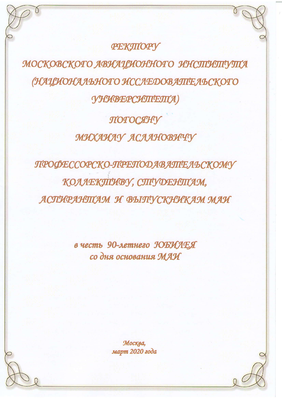## **PEKJITOPY**

МОСКОВСКОГО АВИАЦИОННОГО ИНСЛІИЛІУЛІА (НАЦИОНАЛЬНОГО ИССЛЕДОВАЛГЕЛЬСКОГО УНИВЕРСИЛГЕЛГА)

TIOTOCAHY

МИХАИЛУ АСЛАНОВИЧУ

**ПРОФЕССОРСКО-ПРЕПОДАВАПГЕЛЬСКОМУ** КОЛЛЕКЛІЙВУ, СПГУДЕНПІАМ, АСЛИРАНЛІАМ И ВЫЛУСКНИКАМ МАИ

> в честь 90-летнего ЮБИЛЕЯ со дня основания МАИ

> > Москва, март 2020 года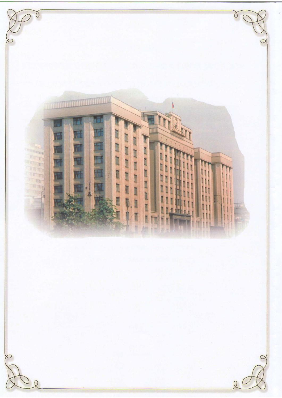